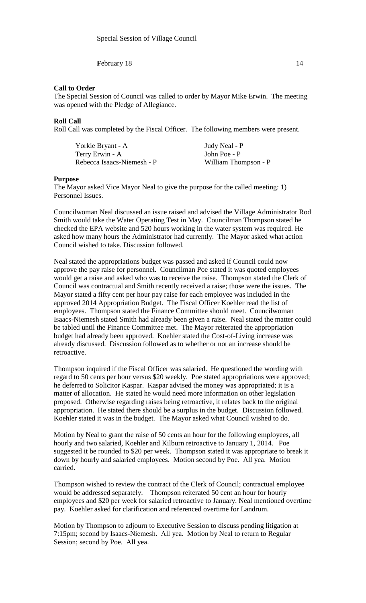**February 18** 14

## **Call to Order**

The Special Session of Council was called to order by Mayor Mike Erwin. The meeting was opened with the Pledge of Allegiance.

# **Roll Call**

Roll Call was completed by the Fiscal Officer. The following members were present.

| Yorkie Bryant - A          | Judy Neal - P        |
|----------------------------|----------------------|
| Terry Erwin - A            | John Poe - P         |
| Rebecca Isaacs-Niemesh - P | William Thompson - P |

#### **Purpose**

The Mayor asked Vice Mayor Neal to give the purpose for the called meeting: 1) Personnel Issues.

Councilwoman Neal discussed an issue raised and advised the Village Administrator Rod Smith would take the Water Operating Test in May. Councilman Thompson stated he checked the EPA website and 520 hours working in the water system was required. He asked how many hours the Administrator had currently. The Mayor asked what action Council wished to take. Discussion followed.

Neal stated the appropriations budget was passed and asked if Council could now approve the pay raise for personnel. Councilman Poe stated it was quoted employees would get a raise and asked who was to receive the raise. Thompson stated the Clerk of Council was contractual and Smith recently received a raise; those were the issues. The Mayor stated a fifty cent per hour pay raise for each employee was included in the approved 2014 Appropriation Budget. The Fiscal Officer Koehler read the list of employees. Thompson stated the Finance Committee should meet. Councilwoman Isaacs-Niemesh stated Smith had already been given a raise. Neal stated the matter could be tabled until the Finance Committee met. The Mayor reiterated the appropriation budget had already been approved. Koehler stated the Cost-of-Living increase was already discussed. Discussion followed as to whether or not an increase should be retroactive.

Thompson inquired if the Fiscal Officer was salaried. He questioned the wording with regard to 50 cents per hour versus \$20 weekly. Poe stated appropriations were approved; he deferred to Solicitor Kaspar. Kaspar advised the money was appropriated; it is a matter of allocation. He stated he would need more information on other legislation proposed. Otherwise regarding raises being retroactive, it relates back to the original appropriation. He stated there should be a surplus in the budget. Discussion followed. Koehler stated it was in the budget. The Mayor asked what Council wished to do.

Motion by Neal to grant the raise of 50 cents an hour for the following employees, all hourly and two salaried, Koehler and Kilburn retroactive to January 1, 2014. Poe suggested it be rounded to \$20 per week. Thompson stated it was appropriate to break it down by hourly and salaried employees. Motion second by Poe. All yea. Motion carried.

Thompson wished to review the contract of the Clerk of Council; contractual employee would be addressed separately. Thompson reiterated 50 cent an hour for hourly employees and \$20 per week for salaried retroactive to January. Neal mentioned overtime pay. Koehler asked for clarification and referenced overtime for Landrum.

Motion by Thompson to adjourn to Executive Session to discuss pending litigation at 7:15pm; second by Isaacs-Niemesh. All yea. Motion by Neal to return to Regular Session; second by Poe. All yea.